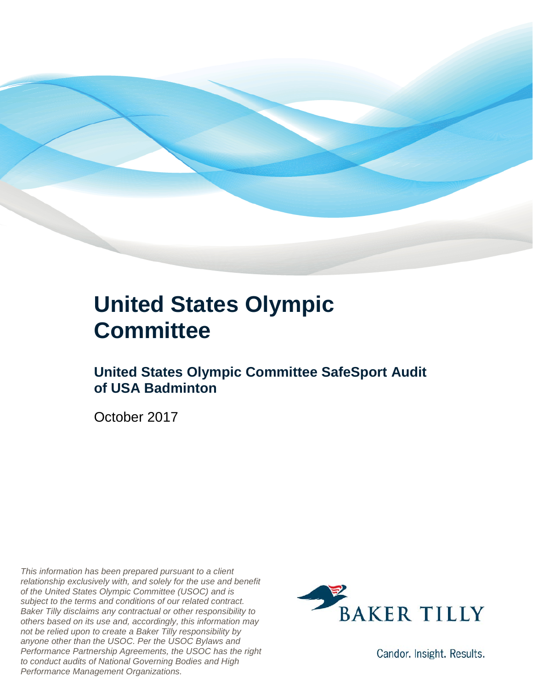

### **United States Olympic Committee**

### **United States Olympic Committee SafeSport Audit of USA Badminton**

October 2017

*This information has been prepared pursuant to a client relationship exclusively with, and solely for the use and benefit of the United States Olympic Committee (USOC) and is subject to the terms and conditions of our related contract. Baker Tilly disclaims any contractual or other responsibility to others based on its use and, accordingly, this information may not be relied upon to create a Baker Tilly responsibility by anyone other than the USOC. Per the USOC Bylaws and Performance Partnership Agreements, the USOC has the right to conduct audits of National Governing Bodies and High Performance Management Organizations.*



Candor. Insight. Results.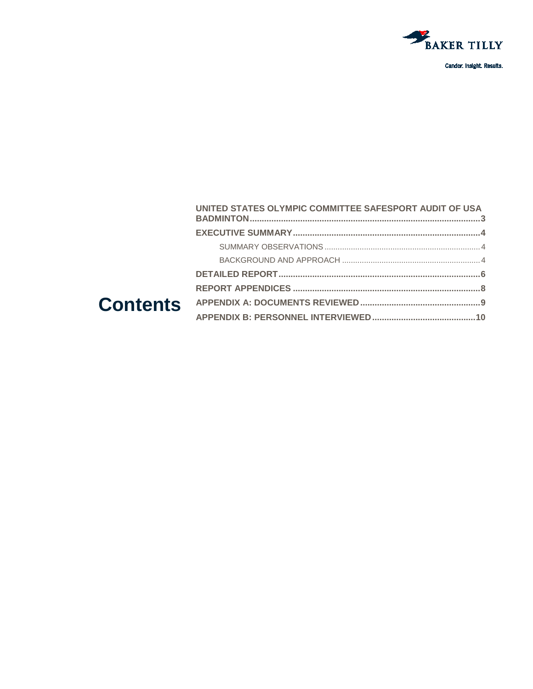

|  | UNITED STATES OLYMPIC COMMITTEE SAFESPORT AUDIT OF USA |  |
|--|--------------------------------------------------------|--|
|  |                                                        |  |
|  |                                                        |  |
|  |                                                        |  |
|  |                                                        |  |
|  |                                                        |  |
|  |                                                        |  |
|  |                                                        |  |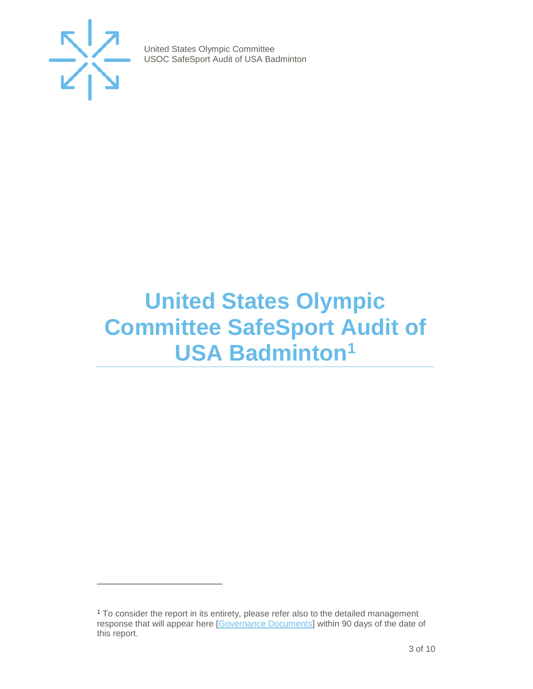

j

United States Olympic Committee USOC SafeSport Audit of USA Badminton

### <span id="page-2-0"></span>**United States Olympic Committee SafeSport Audit of USA Badminton[1](#page-2-1)**

<span id="page-2-1"></span><sup>1</sup> To consider the report in its entirety, please refer also to the detailed management response that will appear here [\[Governance Documents\]](https://www.teamusa.org/Footer/Legal/Governance-Documents) within 90 days of the date of this report.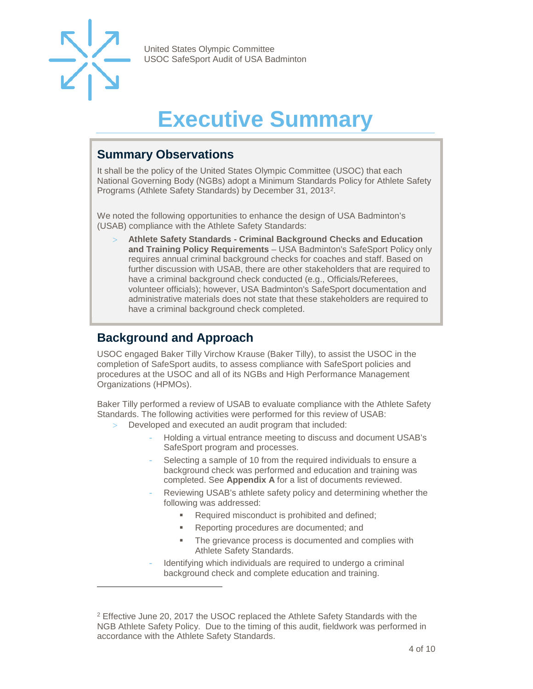

-

United States Olympic Committee USOC SafeSport Audit of USA Badminton

## **Executive Summary**

#### <span id="page-3-1"></span><span id="page-3-0"></span>**Summary Observations**

It shall be the policy of the United States Olympic Committee (USOC) that each National Governing Body (NGBs) adopt a Minimum Standards Policy for Athlete Safety Programs (Athlete Safety Standards) by December 31, 2013[2](#page-3-3).

We noted the following opportunities to enhance the design of USA Badminton's (USAB) compliance with the Athlete Safety Standards:

> **Athlete Safety Standards - Criminal Background Checks and Education and Training Policy Requirements** – USA Badminton's SafeSport Policy only requires annual criminal background checks for coaches and staff. Based on further discussion with USAB, there are other stakeholders that are required to have a criminal background check conducted (e.g., Officials/Referees, volunteer officials); however, USA Badminton's SafeSport documentation and administrative materials does not state that these stakeholders are required to have a criminal background check completed.

#### <span id="page-3-2"></span>**Background and Approach**

USOC engaged Baker Tilly Virchow Krause (Baker Tilly), to assist the USOC in the completion of SafeSport audits, to assess compliance with SafeSport policies and procedures at the USOC and all of its NGBs and High Performance Management Organizations (HPMOs).

Baker Tilly performed a review of USAB to evaluate compliance with the Athlete Safety Standards. The following activities were performed for this review of USAB:

- > Developed and executed an audit program that included:
	- Holding a virtual entrance meeting to discuss and document USAB's SafeSport program and processes.
	- Selecting a sample of 10 from the required individuals to ensure a background check was performed and education and training was completed. See **Appendix A** for a list of documents reviewed.
	- Reviewing USAB's athlete safety policy and determining whether the following was addressed:
		- Required misconduct is prohibited and defined;
		- **Reporting procedures are documented; and**
		- **The grievance process is documented and complies with** Athlete Safety Standards.
	- Identifying which individuals are required to undergo a criminal background check and complete education and training.

<span id="page-3-3"></span><sup>2</sup> Effective June 20, 2017 the USOC replaced the Athlete Safety Standards with the NGB Athlete Safety Policy. Due to the timing of this audit, fieldwork was performed in accordance with the Athlete Safety Standards.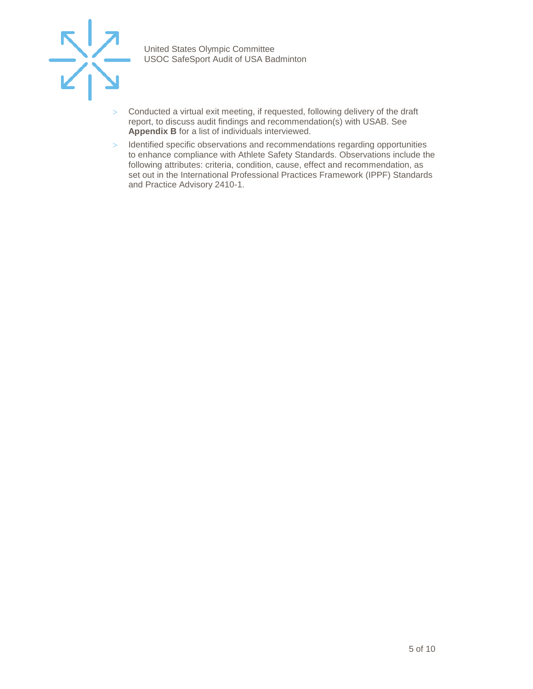

- > Conducted a virtual exit meeting, if requested, following delivery of the draft report, to discuss audit findings and recommendation(s) with USAB. See **Appendix B** for a list of individuals interviewed.
- > Identified specific observations and recommendations regarding opportunities to enhance compliance with Athlete Safety Standards. Observations include the following attributes: criteria, condition, cause, effect and recommendation, as set out in the International Professional Practices Framework (IPPF) Standards and Practice Advisory 2410-1.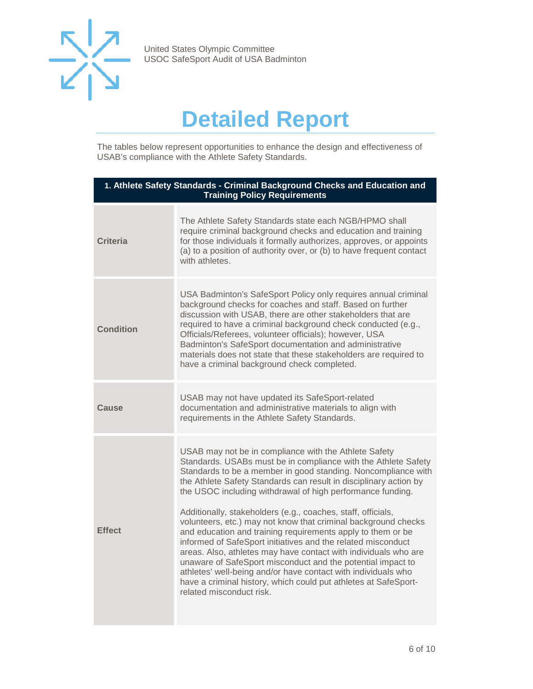

### **Detailed Report**

<span id="page-5-0"></span>The tables below represent opportunities to enhance the design and effectiveness of USAB's compliance with the Athlete Safety Standards.

| 1. Athlete Safety Standards - Criminal Background Checks and Education and<br><b>Training Policy Requirements</b> |                                                                                                                                                                                                                                                                                                                                                                                                                                                                                                                                                                                                                                                                                                                                                                                                                                                                                                |  |
|-------------------------------------------------------------------------------------------------------------------|------------------------------------------------------------------------------------------------------------------------------------------------------------------------------------------------------------------------------------------------------------------------------------------------------------------------------------------------------------------------------------------------------------------------------------------------------------------------------------------------------------------------------------------------------------------------------------------------------------------------------------------------------------------------------------------------------------------------------------------------------------------------------------------------------------------------------------------------------------------------------------------------|--|
| <b>Criteria</b>                                                                                                   | The Athlete Safety Standards state each NGB/HPMO shall<br>require criminal background checks and education and training<br>for those individuals it formally authorizes, approves, or appoints<br>(a) to a position of authority over, or (b) to have frequent contact<br>with athletes.                                                                                                                                                                                                                                                                                                                                                                                                                                                                                                                                                                                                       |  |
| <b>Condition</b>                                                                                                  | USA Badminton's SafeSport Policy only requires annual criminal<br>background checks for coaches and staff. Based on further<br>discussion with USAB, there are other stakeholders that are<br>required to have a criminal background check conducted (e.g.,<br>Officials/Referees, volunteer officials); however, USA<br>Badminton's SafeSport documentation and administrative<br>materials does not state that these stakeholders are required to<br>have a criminal background check completed.                                                                                                                                                                                                                                                                                                                                                                                             |  |
| Cause                                                                                                             | USAB may not have updated its SafeSport-related<br>documentation and administrative materials to align with<br>requirements in the Athlete Safety Standards.                                                                                                                                                                                                                                                                                                                                                                                                                                                                                                                                                                                                                                                                                                                                   |  |
| <b>Effect</b>                                                                                                     | USAB may not be in compliance with the Athlete Safety<br>Standards. USABs must be in compliance with the Athlete Safety<br>Standards to be a member in good standing. Noncompliance with<br>the Athlete Safety Standards can result in disciplinary action by<br>the USOC including withdrawal of high performance funding.<br>Additionally, stakeholders (e.g., coaches, staff, officials,<br>volunteers, etc.) may not know that criminal background checks<br>and education and training requirements apply to them or be<br>informed of SafeSport initiatives and the related misconduct<br>areas. Also, athletes may have contact with individuals who are<br>unaware of SafeSport misconduct and the potential impact to<br>athletes' well-being and/or have contact with individuals who<br>have a criminal history, which could put athletes at SafeSport-<br>related misconduct risk. |  |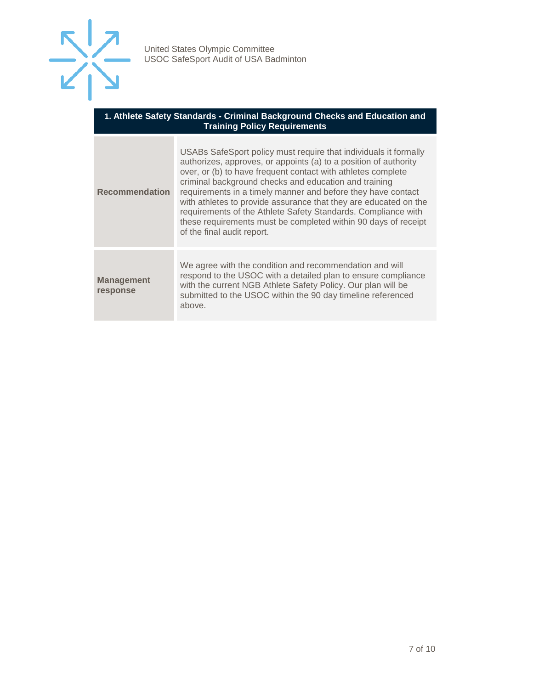

| 1. Athlete Safety Standards - Criminal Background Checks and Education and<br><b>Training Policy Requirements</b> |                                                                                                                                                                                                                                                                                                                                                                                                                                                                                                                                                                    |  |
|-------------------------------------------------------------------------------------------------------------------|--------------------------------------------------------------------------------------------------------------------------------------------------------------------------------------------------------------------------------------------------------------------------------------------------------------------------------------------------------------------------------------------------------------------------------------------------------------------------------------------------------------------------------------------------------------------|--|
| <b>Recommendation</b>                                                                                             | USABs SafeSport policy must require that individuals it formally<br>authorizes, approves, or appoints (a) to a position of authority<br>over, or (b) to have frequent contact with athletes complete<br>criminal background checks and education and training<br>requirements in a timely manner and before they have contact<br>with athletes to provide assurance that they are educated on the<br>requirements of the Athlete Safety Standards. Compliance with<br>these requirements must be completed within 90 days of receipt<br>of the final audit report. |  |
| <b>Management</b><br>response                                                                                     | We agree with the condition and recommendation and will<br>respond to the USOC with a detailed plan to ensure compliance<br>with the current NGB Athlete Safety Policy. Our plan will be<br>submitted to the USOC within the 90 day timeline referenced<br>above.                                                                                                                                                                                                                                                                                                  |  |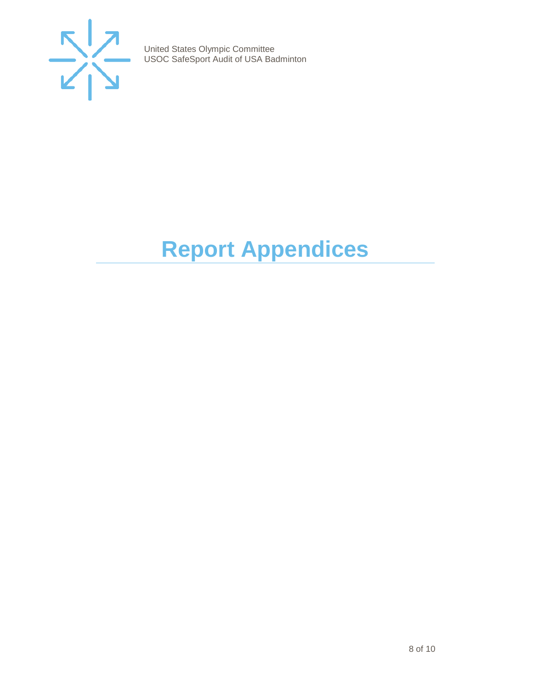

## <span id="page-7-0"></span>**Report Appendices**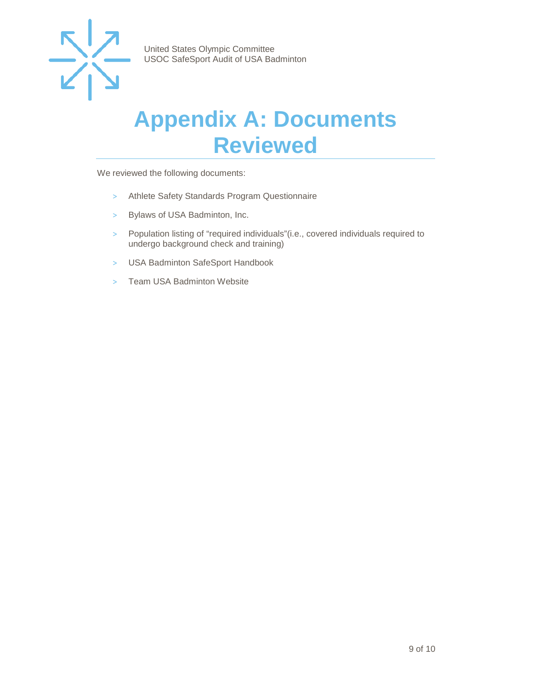

### <span id="page-8-0"></span>**Appendix A: Documents Reviewed**

We reviewed the following documents:

- > Athlete Safety Standards Program Questionnaire
- > Bylaws of USA Badminton, Inc.
- > Population listing of "required individuals"(i.e., covered individuals required to undergo background check and training)
- > USA Badminton SafeSport Handbook
- > Team USA Badminton Website